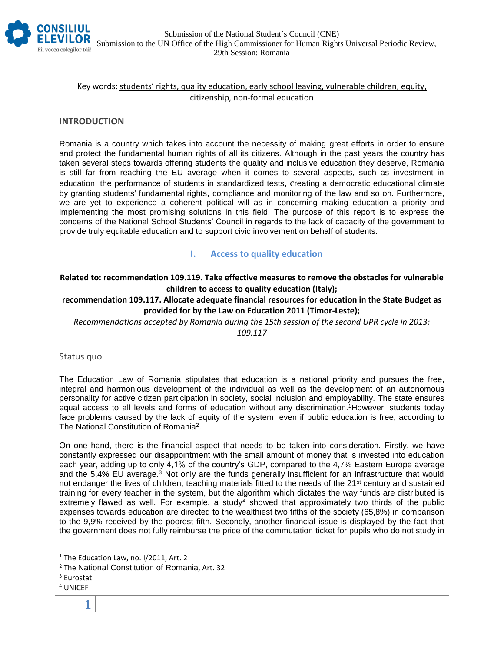

## Key words: students' rights, quality education, early school leaving, vulnerable children, equity, citizenship, non-formal education

### **INTRODUCTION**

Romania is a country which takes into account the necessity of making great efforts in order to ensure and protect the fundamental human rights of all its citizens. Although in the past years the country has taken several steps towards offering students the quality and inclusive education they deserve, Romania is still far from reaching the EU average when it comes to several aspects, such as investment in education, the performance of students in standardized tests, creating a democratic educational climate by granting students' fundamental rights, compliance and monitoring of the law and so on. Furthermore, we are yet to experience a coherent political will as in concerning making education a priority and implementing the most promising solutions in this field. The purpose of this report is to express the concerns of the National School Students' Council in regards to the lack of capacity of the government to provide truly equitable education and to support civic involvement on behalf of students.

## **I. Access to quality education**

## **Related to: recommendation 109.119. Take effective measures to remove the obstacles for vulnerable children to access to quality education (Italy);**

**recommendation 109.117. Allocate adequate financial resources for education in the State Budget as provided for by the Law on Education 2011 (Timor-Leste);**

*Recommendations accepted by Romania during the 15th session of the second UPR cycle in 2013:* 

*109.117*

#### Status quo

The Education Law of Romania stipulates that education is a national priority and pursues the free, integral and harmonious development of the individual as well as the development of an autonomous personality for active citizen participation in society, social inclusion and employability. The state ensures equal access to all levels and forms of education without any discrimination.<sup>1</sup>However, students today face problems caused by the lack of equity of the system, even if public education is free, according to The National Constitution of Romania<sup>2</sup>.

On one hand, there is the financial aspect that needs to be taken into consideration. Firstly, we have constantly expressed our disappointment with the small amount of money that is invested into education each year, adding up to only 4,1% of the country's GDP, compared to the 4,7% Eastern Europe average and the 5,4% EU average.<sup>3</sup> Not only are the funds generally insufficient for an infrastructure that would not endanger the lives of children, teaching materials fitted to the needs of the 21<sup>st</sup> century and sustained training for every teacher in the system, but the algorithm which dictates the way funds are distributed is extremely flawed as well. For example, a study<sup>4</sup> showed that approximately two thirds of the public expenses towards education are directed to the wealthiest two fifths of the society (65,8%) in comparison to the 9,9% received by the poorest fifth. Secondly, another financial issue is displayed by the fact that the government does not fully reimburse the price of the commutation ticket for pupils who do not study in

 $\overline{a}$ 

 $1$  The Education Law, no. I/2011, Art. 2

<sup>2</sup> The National Constitution of Romania, Art. 32

<sup>3</sup> Eurostat

<sup>4</sup> UNICEF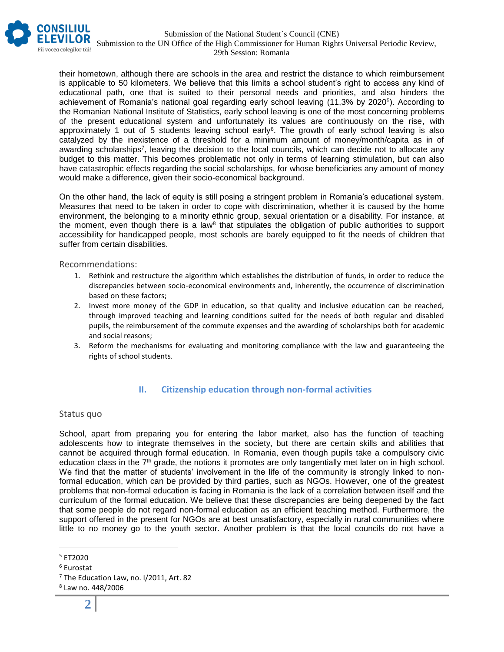

their hometown, although there are schools in the area and restrict the distance to which reimbursement is applicable to 50 kilometers. We believe that this limits a school student's right to access any kind of educational path, one that is suited to their personal needs and priorities, and also hinders the achievement of Romania's national goal regarding early school leaving (11,3% by 2020<sup>5</sup> ). According to the Romanian National Institute of Statistics, early school leaving is one of the most concerning problems of the present educational system and unfortunately its values are continuously on the rise, with approximately 1 out of 5 students leaving school early<sup>6</sup>. The growth of early school leaving is also catalyzed by the inexistence of a threshold for a minimum amount of money/month/capita as in of awarding scholarships<sup>7</sup>, leaving the decision to the local councils, which can decide not to allocate any budget to this matter. This becomes problematic not only in terms of learning stimulation, but can also have catastrophic effects regarding the social scholarships, for whose beneficiaries any amount of money would make a difference, given their socio-economical background.

On the other hand, the lack of equity is still posing a stringent problem in Romania's educational system. Measures that need to be taken in order to cope with discrimination, whether it is caused by the home environment, the belonging to a minority ethnic group, sexual orientation or a disability. For instance, at the moment, even though there is a law<sup>8</sup> that stipulates the obligation of public authorities to support accessibility for handicapped people, most schools are barely equipped to fit the needs of children that suffer from certain disabilities.

Recommendations:

- 1. Rethink and restructure the algorithm which establishes the distribution of funds, in order to reduce the discrepancies between socio-economical environments and, inherently, the occurrence of discrimination based on these factors;
- 2. Invest more money of the GDP in education, so that quality and inclusive education can be reached, through improved teaching and learning conditions suited for the needs of both regular and disabled pupils, the reimbursement of the commute expenses and the awarding of scholarships both for academic and social reasons;
- 3. Reform the mechanisms for evaluating and monitoring compliance with the law and guaranteeing the rights of school students.

# **II. Citizenship education through non-formal activities**

#### Status quo

School, apart from preparing you for entering the labor market, also has the function of teaching adolescents how to integrate themselves in the society, but there are certain skills and abilities that cannot be acquired through formal education. In Romania, even though pupils take a compulsory civic education class in the 7th grade, the notions it promotes are only tangentially met later on in high school. We find that the matter of students' involvement in the life of the community is strongly linked to nonformal education, which can be provided by third parties, such as NGOs. However, one of the greatest problems that non-formal education is facing in Romania is the lack of a correlation between itself and the curriculum of the formal education. We believe that these discrepancies are being deepened by the fact that some people do not regard non-formal education as an efficient teaching method. Furthermore, the support offered in the present for NGOs are at best unsatisfactory, especially in rural communities where little to no money go to the youth sector. Another problem is that the local councils do not have a

 $\overline{a}$ 

<sup>5</sup> ET2020

<sup>6</sup> Eurostat

 $7$  The Education Law, no. I/2011, Art. 82

<sup>8</sup> Law no. 448/2006